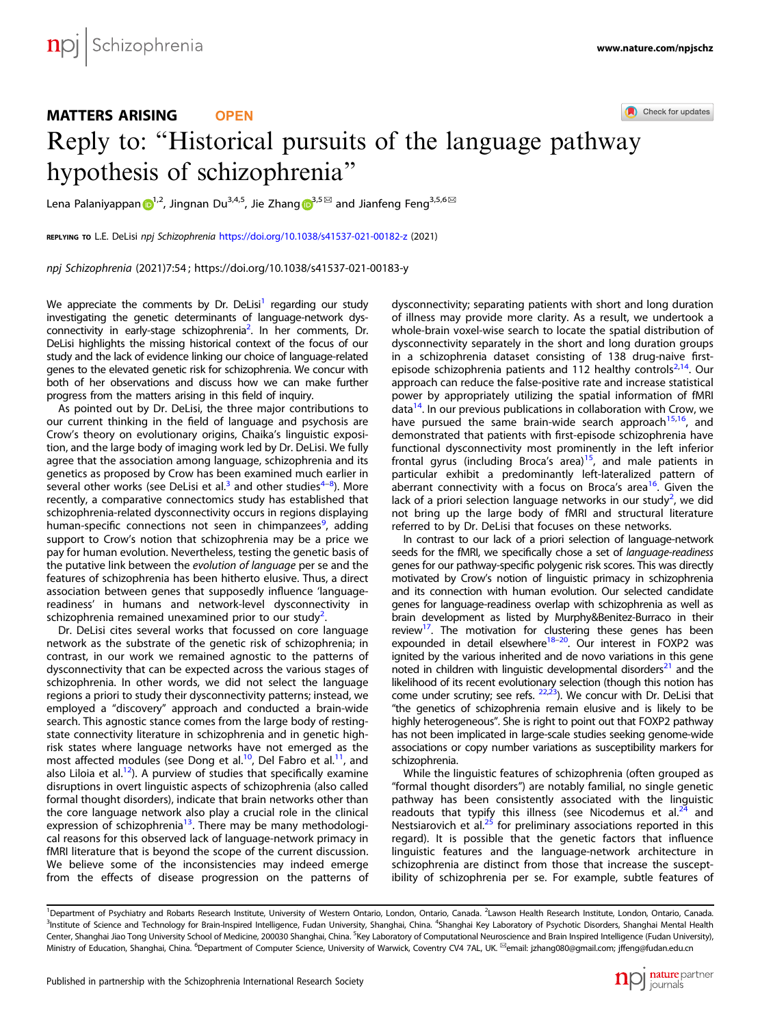# Check for updates MATTERS ARISING **OPEN** Reply to: "Historical pursuits of the language pathw[a](http://crossmark.crossref.org/dialog/?doi=10.1038/s41537-021-00183-y&domain=pdf)y hypothesis of schizophrenia"

Lena Palaniyappan  $\mathbf{D}^{1,2}$  $\mathbf{D}^{1,2}$  $\mathbf{D}^{1,2}$ , Jingnan Du<sup>[3](http://orcid.org/0000-0002-5016-9192),4,5</sup>, Jie Zhang  $\mathbf{D}^{3,5}$  and Jianfeng Feng<sup>3,5,6 $\boxtimes$ </sup>

REPLYING TO L.E. DeLisi npj Schizophrenia <https://doi.org/10.1038/s41537-021-00182-z> (2021)

npj Schizophrenia (2021) 7:54 ; https://doi.org/1[0.1038/s41537-021-00183-y](https://doi.org/10.1038/s41537-021-00183-y)

We appreciate the comments by Dr. DeLisi<sup>1</sup> regarding our study investigating the genetic determinants of language-network dysconnectivity in early-stage schizophrenia<sup>2</sup>. In her comments, Dr. DeLisi highlights the missing historical context of the focus of our study and the lack of evidence linking our choice of language-related genes to the elevated genetic risk for schizophrenia. We concur with both of her observations and discuss how we can make further progress from the matters arising in this field of inquiry.

As pointed out by Dr. DeLisi, the three major contributions to our current thinking in the field of language and psychosis are Crow's theory on evolutionary origins, Chaika's linguistic exposition, and the large body of imaging work led by Dr. DeLisi. We fully agree that the association among language, schizophrenia and its genetics as proposed by Crow has been examined much earlier in several other works (see DeLisi et al.<sup>3</sup> and other studies<sup>[4](#page-1-0)-[8](#page-1-0)</sup>). More recently, a comparative connectomics study has established that schizophrenia-related dysconnectivity occurs in regions displaying human-specific connections not seen in chimpanzees<sup>[9](#page-1-0)</sup>, adding support to Crow's notion that schizophrenia may be a price we pay for human evolution. Nevertheless, testing the genetic basis of the putative link between the evolution of language per se and the features of schizophrenia has been hitherto elusive. Thus, a direct association between genes that supposedly influence 'languagereadiness' in humans and network-level dysconnectivity in schizophrenia remained unexamined prior to our study<sup>[2](#page-1-0)</sup>. .

Dr. DeLisi cites several works that focussed on core language network as the substrate of the genetic risk of schizophrenia; in contrast, in our work we remained agnostic to the patterns of dysconnectivity that can be expected across the various stages of schizophrenia. In other words, we did not select the language regions a priori to study their dysconnectivity patterns; instead, we employed a "discovery" approach and conducted a brain-wide search. This agnostic stance comes from the large body of restingstate connectivity literature in schizophrenia and in genetic highrisk states where language networks have not emerged as the most affected modules (see Dong et al.<sup>10</sup>, Del Fabro et al.<sup>11</sup>, and also Liloia et al.<sup>12</sup>). A purview of studies that specifically examine disruptions in overt linguistic aspects of schizophrenia (also called formal thought disorders), indicate that brain networks other than the core language network also play a crucial role in the clinical expression of schizophrenia<sup>13</sup>. There may be many methodological reasons for this observed lack of language-network primacy in fMRI literature that is beyond the scope of the current discussion. We believe some of the inconsistencies may indeed emerge from the effects of disease progression on the patterns of dysconnectivity; separating patients with short and long duration of illness may provide more clarity. As a result, we undertook a whole-brain voxel-wise search to locate the spatial distribution of dysconnectivity separately in the short and long duration groups in a schizophrenia dataset consisting of 138 drug-naive firstepisode schizophrenia patients and 112 healthy controls<sup>2,14</sup>. Our approach can reduce the false-positive rate and increase statistical power by appropriately utilizing the spatial information of fMRI data<sup>14</sup>. In our previous publications in collaboration with Crow, we have pursued the same brain-wide search approach<sup>[15](#page-1-0),16</sup>, and demonstrated that patients with first-episode schizophrenia have functional dysconnectivity most prominently in the left inferior frontal gyrus (including Broca's area)<sup>[15](#page-1-0)</sup>, and male patients in particular exhibit a predominantly left-lateralized pattern of aberrant connectivity with a focus on Broca's area<sup>[16](#page-1-0)</sup>. Given the lack of a priori selection language networks in our study<sup>[2](#page-1-0)</sup>, we did not bring up the large body of fMRI and structural literature referred to by Dr. DeLisi that focuses on these networks.

In contrast to our lack of a priori selection of language-network seeds for the fMRI, we specifically chose a set of language-readiness genes for our pathway-specific polygenic risk scores. This was directly motivated by Crow's notion of linguistic primacy in schizophrenia and its connection with human evolution. Our selected candidate genes for language-readiness overlap with schizophrenia as well as brain development as listed by Murphy&Benitez-Burraco in their review<sup>[17](#page-1-0)</sup>. The motivation for clustering these genes has been expounded in detail elsewhere $18-20$ . Our interest in FOXP2 was ignited by the various inherited and de novo variations in this gene noted in children with linguistic developmental disorders $21$  and the likelihood of its recent evolutionary selection (though this notion has come under scrutiny; see refs.  $22,23$ ). We concur with Dr. DeLisi that "the genetics of schizophrenia remain elusive and is likely to be highly heterogeneous". She is right to point out that FOXP2 pathway has not been implicated in large-scale studies seeking genome-wide associations or copy number variations as susceptibility markers for schizophrenia.

While the linguistic features of schizophrenia (often grouped as "formal thought disorders") are notably familial, no single genetic pathway has been consistently associated with the linguistic readouts that typify this illness (see Nicodemus et al.<sup>[24](#page-1-0)</sup> and Nestsiarovich et al.<sup>25</sup> for preliminary associations reported in this regard). It is possible that the genetic factors that influence linguistic features and the language-network architecture in schizophrenia are distinct from those that increase the susceptibility of schizophrenia per se. For example, subtle features of



<sup>&</sup>lt;sup>1</sup>Department of Psychiatry and Robarts Research Institute, University of Western Ontario, London, Ontario, Canada. <sup>2</sup>Lawson Health Research Institute, London, Ontario, Canada. <sup>3</sup>Institute of Science and Technology for Brain-Inspired Intelligence, Fudan University, Shanghai, China. <sup>4</sup>Shanghai Key Laboratory of Psychotic Disorders, Shanghai Mental Health Center, Shanghai Jiao Tong University School of Medicine, 200030 Shanghai, China. <sup>5</sup>Key Laboratory of Computational Neuroscience and Brain Inspired Intelligence (Fudan University), Ministry of Education, Shanghai, China. <sup>6</sup>Department of Computer Science, University of Warwick, Coventry CV4 7AL, UK. <sup>⊠</sup>email: [jzhang080@gmail.com;](mailto:jzhang080@gmail.com) [jffeng@fudan.edu.cn](mailto:jffeng@fudan.edu.cn)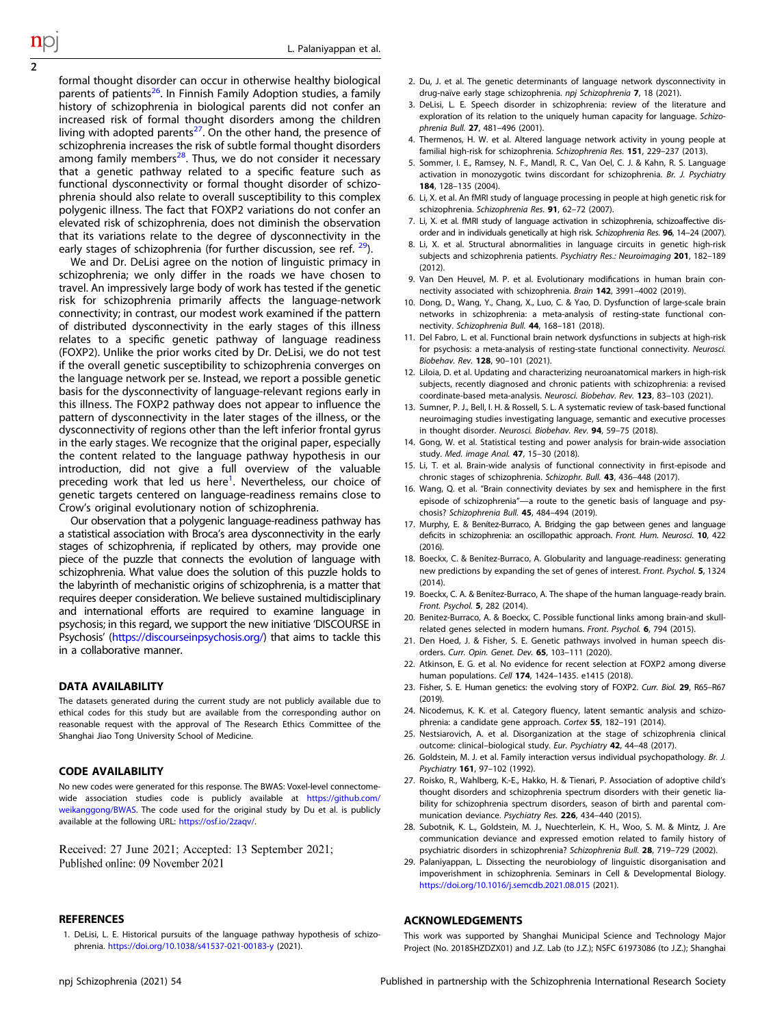formal thought disorder can occur in otherwise healthy biological parents of patients<sup>26</sup>. In Finnish Family Adoption studies, a family history of schizophrenia in biological parents did not confer an increased risk of formal thought disorders among the children living with adopted parents<sup>27</sup>. On the other hand, the presence of schizophrenia increases the risk of subtle formal thought disorders among family members<sup>28</sup>. Thus, we do not consider it necessary that a genetic pathway related to a specific feature such as functional dysconnectivity or formal thought disorder of schizophrenia should also relate to overall susceptibility to this complex polygenic illness. The fact that FOXP2 variations do not confer an elevated risk of schizophrenia, does not diminish the observation that its variations relate to the degree of dysconnectivity in the early stages of schizophrenia (for further discussion, see ref. <sup>29</sup>).

We and Dr. DeLisi agree on the notion of linguistic primacy in schizophrenia; we only differ in the roads we have chosen to travel. An impressively large body of work has tested if the genetic risk for schizophrenia primarily affects the language-network connectivity; in contrast, our modest work examined if the pattern of distributed dysconnectivity in the early stages of this illness relates to a specific genetic pathway of language readiness (FOXP2). Unlike the prior works cited by Dr. DeLisi, we do not test if the overall genetic susceptibility to schizophrenia converges on the language network per se. Instead, we report a possible genetic basis for the dysconnectivity of language-relevant regions early in this illness. The FOXP2 pathway does not appear to influence the pattern of dysconnectivity in the later stages of the illness, or the dysconnectivity of regions other than the left inferior frontal gyrus in the early stages. We recognize that the original paper, especially the content related to the language pathway hypothesis in our introduction, did not give a full overview of the valuable preceding work that led us here<sup>1</sup>. Nevertheless, our choice of genetic targets centered on language-readiness remains close to Crow's original evolutionary notion of schizophrenia.

Our observation that a polygenic language-readiness pathway has a statistical association with Broca's area dysconnectivity in the early stages of schizophrenia, if replicated by others, may provide one piece of the puzzle that connects the evolution of language with schizophrenia. What value does the solution of this puzzle holds to the labyrinth of mechanistic origins of schizophrenia, is a matter that requires deeper consideration. We believe sustained multidisciplinary and international efforts are required to examine language in psychosis; in this regard, we support the new initiative 'DISCOURSE in Psychosis' [\(https://discourseinpsychosis.org/](https://discourseinpsychosis.org/)) that aims to tackle this in a collaborative manner.

### DATA AVAILABILITY

<span id="page-1-0"></span>2

The datasets generated during the current study are not publicly available due to ethical codes for this study but are available from the corresponding author on reasonable request with the approval of The Research Ethics Committee of the Shanghai Jiao Tong University School of Medicine.

#### CODE AVAILABILITY

No new codes were generated for this response. The BWAS: Voxel-level connectomewide association studies code is publicly available at [https://github.com/](https://github.com/weikanggong/BWAS) [weikanggong/BWAS.](https://github.com/weikanggong/BWAS) The code used for the original study by Du et al. is publicly available at the following URL: <https://osf.io/2zaqv/>.

Received: 27 June 2021; Accepted: 13 September 2021; Published online: 09 November 2021

#### **REFERENCES**

1. DeLisi, L. E. Historical pursuits of the language pathway hypothesis of schizophrenia. <https://doi.org/10.1038/s41537-021-00183-y> (2021).

- 2. Du, J. et al. The genetic determinants of language network dysconnectivity in drug-naïve early stage schizophrenia. npj Schizophrenia 7, 18 (2021).
- 3. DeLisi, L. E. Speech disorder in schizophrenia: review of the literature and exploration of its relation to the uniquely human capacity for language. Schizophrenia Bull. 27, 481–496 (2001).
- 4. Thermenos, H. W. et al. Altered language network activity in young people at familial high-risk for schizophrenia. Schizophrenia Res. 151, 229–237 (2013).
- 5. Sommer, I. E., Ramsey, N. F., Mandl, R. C., Van Oel, C. J. & Kahn, R. S. Language activation in monozygotic twins discordant for schizophrenia. Br. J. Psychiatry 184, 128–135 (2004).
- 6. Li, X. et al. An fMRI study of language processing in people at high genetic risk for schizophrenia. Schizophrenia Res. 91, 62–72 (2007).
- 7. Li, X. et al. fMRI study of language activation in schizophrenia, schizoaffective disorder and in individuals genetically at high risk. Schizophrenia Res. 96, 14–24 (2007).
- 8. Li, X. et al. Structural abnormalities in language circuits in genetic high-risk subjects and schizophrenia patients. Psychiatry Res.: Neuroimaging 201, 182-189 (2012).
- 9. Van Den Heuvel, M. P. et al. Evolutionary modifications in human brain connectivity associated with schizophrenia. Brain 142, 3991–4002 (2019).
- 10. Dong, D., Wang, Y., Chang, X., Luo, C. & Yao, D. Dysfunction of large-scale brain networks in schizophrenia: a meta-analysis of resting-state functional connectivity. Schizophrenia Bull. 44, 168–181 (2018).
- 11. Del Fabro, L. et al. Functional brain network dysfunctions in subjects at high-risk for psychosis: a meta-analysis of resting-state functional connectivity. Neurosci. Biobehav. Rev. 128, 90–101 (2021).
- 12. Liloia, D. et al. Updating and characterizing neuroanatomical markers in high-risk subjects, recently diagnosed and chronic patients with schizophrenia: a revised coordinate-based meta-analysis. Neurosci. Biobehav. Rev. 123, 83–103 (2021).
- 13. Sumner, P. J., Bell, I. H. & Rossell, S. L. A systematic review of task-based functional neuroimaging studies investigating language, semantic and executive processes in thought disorder. Neurosci. Biobehav. Rev. 94, 59–75 (2018).
- 14. Gong, W. et al. Statistical testing and power analysis for brain-wide association study. Med. image Anal. 47, 15–30 (2018).
- 15. Li, T. et al. Brain-wide analysis of functional connectivity in first-episode and chronic stages of schizophrenia. Schizophr. Bull. 43, 436–448 (2017).
- 16. Wang, Q. et al. "Brain connectivity deviates by sex and hemisphere in the first episode of schizophrenia"—a route to the genetic basis of language and psychosis? Schizophrenia Bull. 45, 484–494 (2019).
- 17. Murphy, E. & Benítez-Burraco, A. Bridging the gap between genes and language deficits in schizophrenia: an oscillopathic approach. Front. Hum. Neurosci. 10, 422  $(2016)$
- 18. Boeckx, C. & Benítez-Burraco, A. Globularity and language-readiness: generating new predictions by expanding the set of genes of interest. Front. Psychol. 5, 1324 (2014).
- 19. Boeckx, C. A. & Benítez-Burraco, A. The shape of the human language-ready brain. Front. Psychol. 5, 282 (2014).
- 20. Benitez-Burraco, A. & Boeckx, C. Possible functional links among brain-and skullrelated genes selected in modern humans. Front. Psychol. 6, 794 (2015).
- 21. Den Hoed, J. & Fisher, S. E. Genetic pathways involved in human speech disorders. Curr. Opin. Genet. Dev. 65, 103–111 (2020).
- 22. Atkinson, E. G. et al. No evidence for recent selection at FOXP2 among diverse human populations. Cell 174, 1424–1435. e1415 (2018).
- 23. Fisher, S. E. Human genetics: the evolving story of FOXP2. Curr. Biol. 29, R65–R67 (2019).
- 24. Nicodemus, K. K. et al. Category fluency, latent semantic analysis and schizophrenia: a candidate gene approach. Cortex 55, 182–191 (2014).
- 25. Nestsiarovich, A. et al. Disorganization at the stage of schizophrenia clinical outcome: clinical–biological study. Eur. Psychiatry 42, 44–48 (2017).
- 26. Goldstein, M. J. et al. Family interaction versus individual psychopathology. Br. J. Psychiatry 161, 97–102 (1992).
- 27. Roisko, R., Wahlberg, K.-E., Hakko, H. & Tienari, P. Association of adoptive child's thought disorders and schizophrenia spectrum disorders with their genetic liability for schizophrenia spectrum disorders, season of birth and parental communication deviance. Psychiatry Res. 226, 434–440 (2015).
- 28. Subotnik, K. L., Goldstein, M. J., Nuechterlein, K. H., Woo, S. M. & Mintz, J. Are communication deviance and expressed emotion related to family history of psychiatric disorders in schizophrenia? Schizophrenia Bull. 28, 719–729 (2002).
- 29. Palaniyappan, L. Dissecting the neurobiology of linguistic disorganisation and impoverishment in schizophrenia. Seminars in Cell & Developmental Biology. <https://doi.org/10.1016/j.semcdb.2021.08.015> (2021).

## ACKNOWLEDGEMENTS

This work was supported by Shanghai Municipal Science and Technology Major Project (No. 2018SHZDZX01) and J.Z. Lab (to J.Z.); NSFC 61973086 (to J.Z.); Shanghai